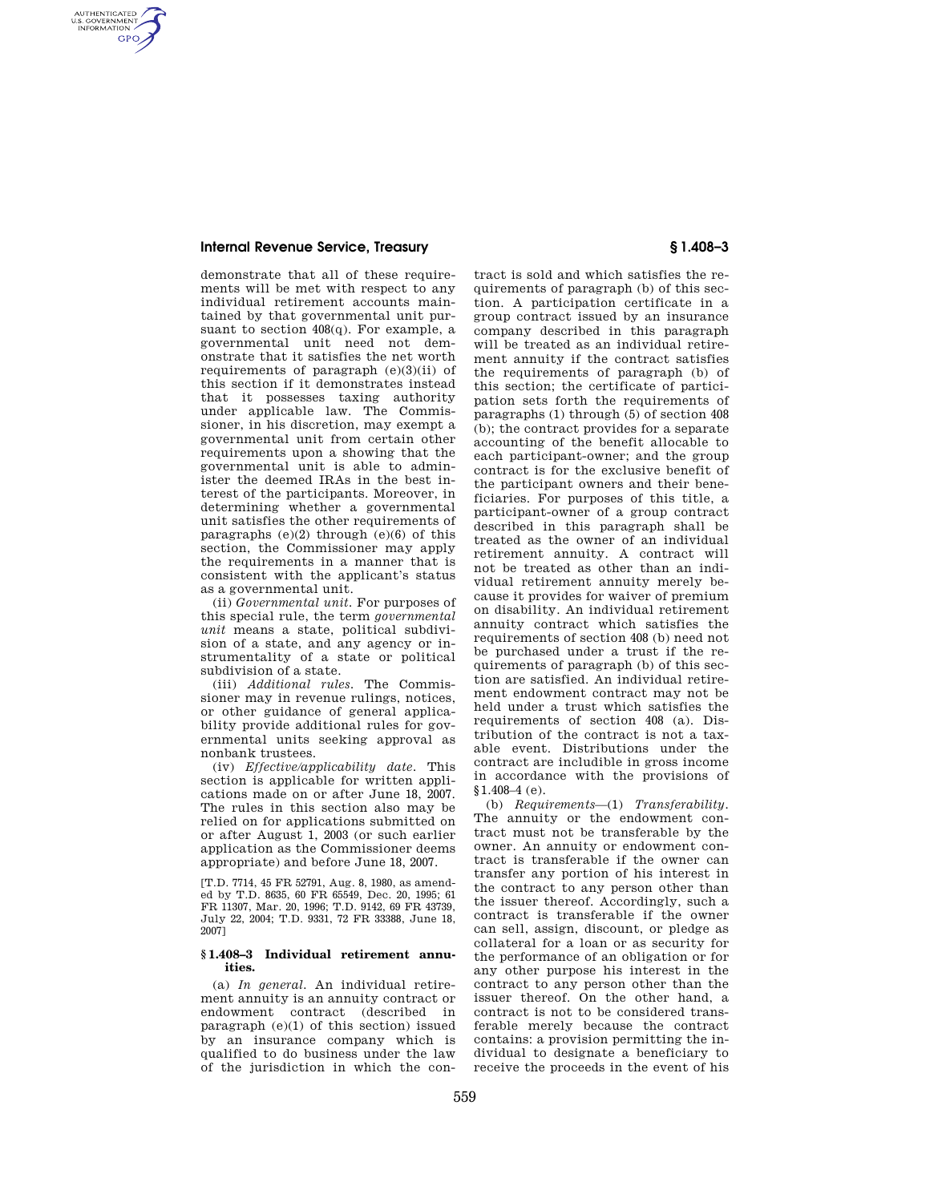## **Internal Revenue Service, Treasury § 1.408–3**

AUTHENTICATED<br>U.S. GOVERNMENT<br>INFORMATION **GPO** 

> demonstrate that all of these requirements will be met with respect to any individual retirement accounts maintained by that governmental unit pursuant to section 408(q). For example, a governmental unit need not demonstrate that it satisfies the net worth requirements of paragraph (e)(3)(ii) of this section if it demonstrates instead that it possesses taxing authority under applicable law. The Commissioner, in his discretion, may exempt a governmental unit from certain other requirements upon a showing that the governmental unit is able to administer the deemed IRAs in the best interest of the participants. Moreover, in determining whether a governmental unit satisfies the other requirements of paragraphs  $(e)(2)$  through  $(e)(6)$  of this section, the Commissioner may apply the requirements in a manner that is consistent with the applicant's status as a governmental unit.

> (ii) *Governmental unit.* For purposes of this special rule, the term *governmental unit* means a state, political subdivision of a state, and any agency or instrumentality of a state or political subdivision of a state.

> (iii) *Additional rules.* The Commissioner may in revenue rulings, notices, or other guidance of general applicability provide additional rules for governmental units seeking approval as nonbank trustees.

> (iv) *Effective/applicability date.* This section is applicable for written applications made on or after June 18, 2007. The rules in this section also may be relied on for applications submitted on or after August 1, 2003 (or such earlier application as the Commissioner deems appropriate) and before June 18, 2007.

> [T.D. 7714, 45 FR 52791, Aug. 8, 1980, as amended by T.D. 8635, 60 FR 65549, Dec. 20, 1995; 61 FR 11307, Mar. 20, 1996; T.D. 9142, 69 FR 43739, July 22, 2004; T.D. 9331, 72 FR 33388, June 18, 2007]

## **§ 1.408–3 Individual retirement annuities.**

(a) *In general.* An individual retirement annuity is an annuity contract or endowment contract (described in paragraph (e)(1) of this section) issued by an insurance company which is qualified to do business under the law of the jurisdiction in which the con-

tract is sold and which satisfies the requirements of paragraph (b) of this section. A participation certificate in a group contract issued by an insurance company described in this paragraph will be treated as an individual retirement annuity if the contract satisfies the requirements of paragraph (b) of this section; the certificate of participation sets forth the requirements of paragraphs (1) through (5) of section 408 (b); the contract provides for a separate accounting of the benefit allocable to each participant-owner; and the group contract is for the exclusive benefit of the participant owners and their beneficiaries. For purposes of this title, a participant-owner of a group contract described in this paragraph shall be treated as the owner of an individual retirement annuity. A contract will not be treated as other than an individual retirement annuity merely because it provides for waiver of premium on disability. An individual retirement annuity contract which satisfies the requirements of section 408 (b) need not be purchased under a trust if the requirements of paragraph (b) of this section are satisfied. An individual retirement endowment contract may not be held under a trust which satisfies the requirements of section 408 (a). Distribution of the contract is not a taxable event. Distributions under the contract are includible in gross income in accordance with the provisions of §1.408–4 (e).

(b) *Requirements*—(1) *Transferability.*  The annuity or the endowment contract must not be transferable by the owner. An annuity or endowment contract is transferable if the owner can transfer any portion of his interest in the contract to any person other than the issuer thereof. Accordingly, such a contract is transferable if the owner can sell, assign, discount, or pledge as collateral for a loan or as security for the performance of an obligation or for any other purpose his interest in the contract to any person other than the issuer thereof. On the other hand, a contract is not to be considered transferable merely because the contract contains: a provision permitting the individual to designate a beneficiary to receive the proceeds in the event of his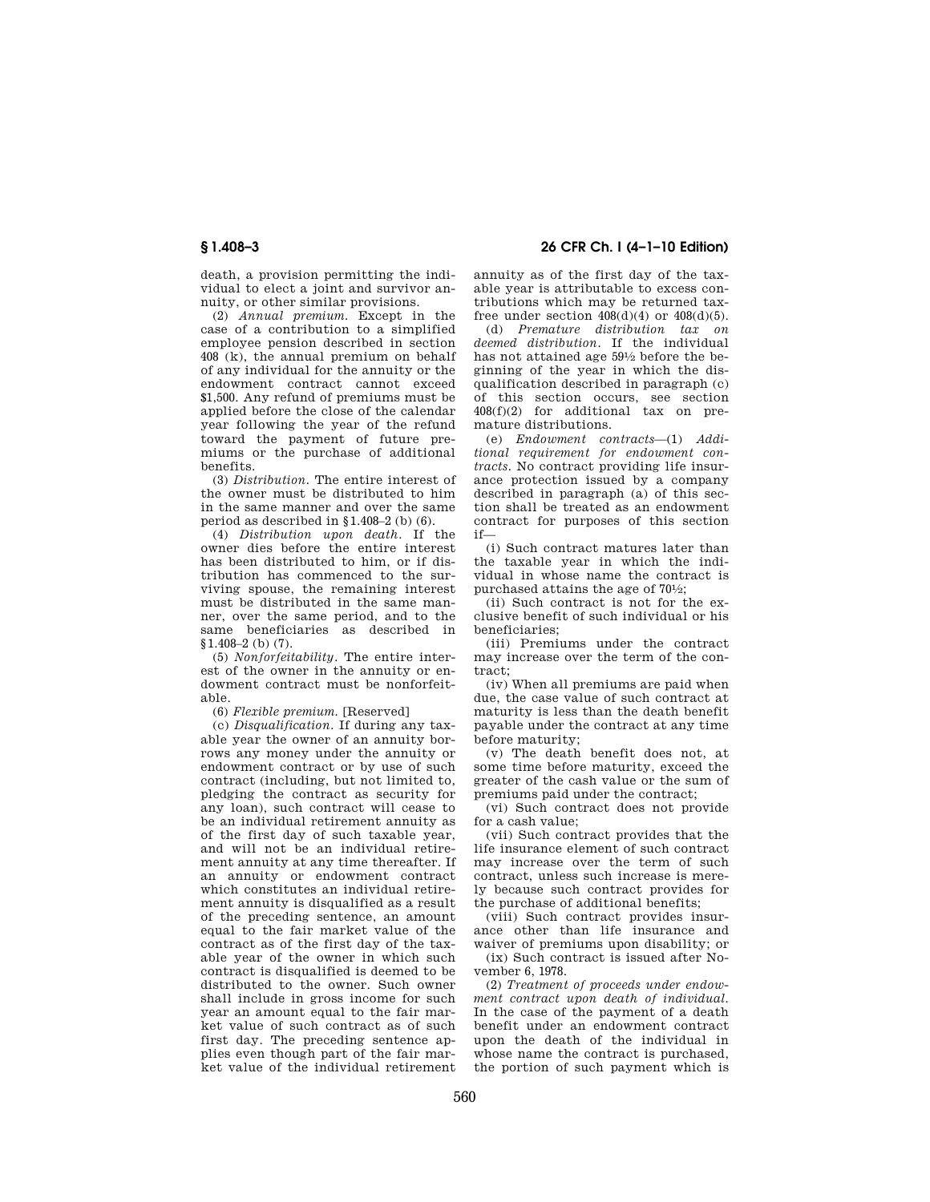death, a provision permitting the individual to elect a joint and survivor annuity, or other similar provisions.

(2) *Annual premium.* Except in the case of a contribution to a simplified employee pension described in section 408 (k), the annual premium on behalf of any individual for the annuity or the endowment contract cannot exceed \$1,500. Any refund of premiums must be applied before the close of the calendar year following the year of the refund toward the payment of future premiums or the purchase of additional benefits.

(3) *Distribution.* The entire interest of the owner must be distributed to him in the same manner and over the same period as described in §1.408–2 (b) (6).

(4) *Distribution upon death.* If the owner dies before the entire interest has been distributed to him, or if distribution has commenced to the surviving spouse, the remaining interest must be distributed in the same manner, over the same period, and to the same beneficiaries as described in §1.408–2 (b) (7).

(5) *Nonforfeitability.* The entire interest of the owner in the annuity or endowment contract must be nonforfeitable.

(6) *Flexible premium.* [Reserved]

(c) *Disqualification.* If during any taxable year the owner of an annuity borrows any money under the annuity or endowment contract or by use of such contract (including, but not limited to, pledging the contract as security for any loan), such contract will cease to be an individual retirement annuity as of the first day of such taxable year, and will not be an individual retirement annuity at any time thereafter. If an annuity or endowment contract which constitutes an individual retirement annuity is disqualified as a result of the preceding sentence, an amount equal to the fair market value of the contract as of the first day of the taxable year of the owner in which such contract is disqualified is deemed to be distributed to the owner. Such owner shall include in gross income for such year an amount equal to the fair market value of such contract as of such first day. The preceding sentence applies even though part of the fair market value of the individual retirement

# **§ 1.408–3 26 CFR Ch. I (4–1–10 Edition)**

annuity as of the first day of the taxable year is attributable to excess contributions which may be returned taxfree under section  $408(d)(4)$  or  $408(d)(5)$ .

(d) *Premature distribution tax on deemed distribution.* If the individual has not attained age 591⁄2 before the beginning of the year in which the disqualification described in paragraph (c) of this section occurs, see section 408(f)(2) for additional tax on premature distributions.

(e) *Endowment contracts*—(1) *Additional requirement for endowment contracts.* No contract providing life insurance protection issued by a company described in paragraph (a) of this section shall be treated as an endowment contract for purposes of this section if—

(i) Such contract matures later than the taxable year in which the individual in whose name the contract is purchased attains the age of 701⁄2;

(ii) Such contract is not for the exclusive benefit of such individual or his beneficiaries;

(iii) Premiums under the contract may increase over the term of the contract;

(iv) When all premiums are paid when due, the case value of such contract at maturity is less than the death benefit payable under the contract at any time before maturity;

(v) The death benefit does not, at some time before maturity, exceed the greater of the cash value or the sum of premiums paid under the contract;

(vi) Such contract does not provide for a cash value;

(vii) Such contract provides that the life insurance element of such contract may increase over the term of such contract, unless such increase is merely because such contract provides for the purchase of additional benefits;

(viii) Such contract provides insurance other than life insurance and waiver of premiums upon disability; or

(ix) Such contract is issued after November 6, 1978.

(2) *Treatment of proceeds under endowment contract upon death of individual.*  In the case of the payment of a death benefit under an endowment contract upon the death of the individual in whose name the contract is purchased, the portion of such payment which is